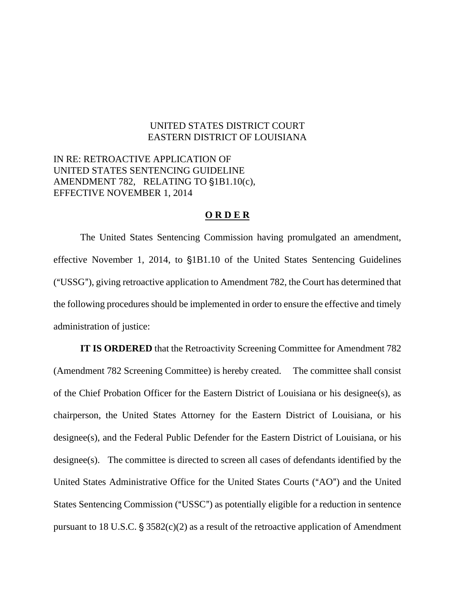## UNITED STATES DISTRICT COURT EASTERN DISTRICT OF LOUISIANA

## IN RE: RETROACTIVE APPLICATION OF UNITED STATES SENTENCING GUIDELINE AMENDMENT 782, RELATING TO  $$1B1.10(c)$ , EFFECTIVE NOVEMBER 1, 2014

## **O R D E R**

The United States Sentencing Commission having promulgated an amendment, effective November 1, 2014, to  $$1B1.10$  of the United States Sentencing Guidelines ("USSG"), giving retroactive application to Amendment 782, the Court has determined that the following procedures should be implemented in order to ensure the effective and timely administration of justice:

**IT IS ORDERED** that the Retroactivity Screening Committee for Amendment 782 (Amendment 782 Screening Committee) is hereby created. The committee shall consist of the Chief Probation Officer for the Eastern District of Louisiana or his designee(s), as chairperson, the United States Attorney for the Eastern District of Louisiana, or his designee(s), and the Federal Public Defender for the Eastern District of Louisiana, or his designee(s). The committee is directed to screen all cases of defendants identified by the United States Administrative Office for the United States Courts ("AO") and the United States Sentencing Commission ("USSC") as potentially eligible for a reduction in sentence pursuant to 18 U.S.C.  $\S 3582(c)(2)$  as a result of the retroactive application of Amendment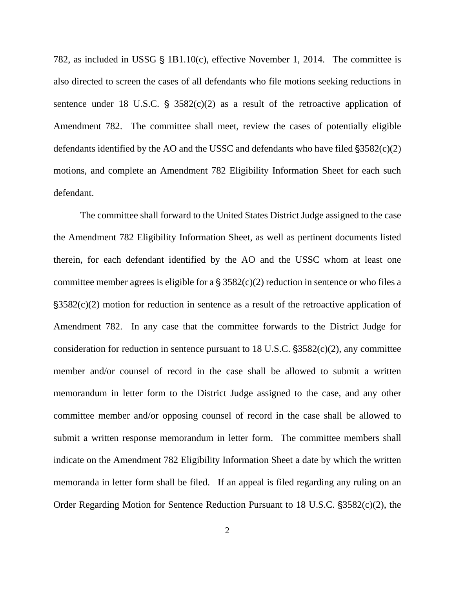782, as included in USSG  $\S$  1B1.10(c), effective November 1, 2014. The committee is also directed to screen the cases of all defendants who file motions seeking reductions in sentence under 18 U.S.C.  $\frac{1}{5}$  3582(c)(2) as a result of the retroactive application of Amendment 782. The committee shall meet, review the cases of potentially eligible defendants identified by the AO and the USSC and defendants who have filed  $\S 3582(c)(2)$ motions, and complete an Amendment 782 Eligibility Information Sheet for each such defendant.

The committee shall forward to the United States District Judge assigned to the case the Amendment 782 Eligibility Information Sheet, as well as pertinent documents listed therein, for each defendant identified by the AO and the USSC whom at least one committee member agrees is eligible for a  $\S$  3582(c)(2) reduction in sentence or who files a  $\frac{1}{2}$ \$3582(c)(2) motion for reduction in sentence as a result of the retroactive application of Amendment 782. In any case that the committee forwards to the District Judge for consideration for reduction in sentence pursuant to 18 U.S.C.  $\S 3582(c)(2)$ , any committee member and/or counsel of record in the case shall be allowed to submit a written memorandum in letter form to the District Judge assigned to the case, and any other committee member and/or opposing counsel of record in the case shall be allowed to submit a written response memorandum in letter form. The committee members shall indicate on the Amendment 782 Eligibility Information Sheet a date by which the written memoranda in letter form shall be filed. If an appeal is filed regarding any ruling on an Order Regarding Motion for Sentence Reduction Pursuant to 18 U.S.C.  $\S 3582(c)(2)$ , the